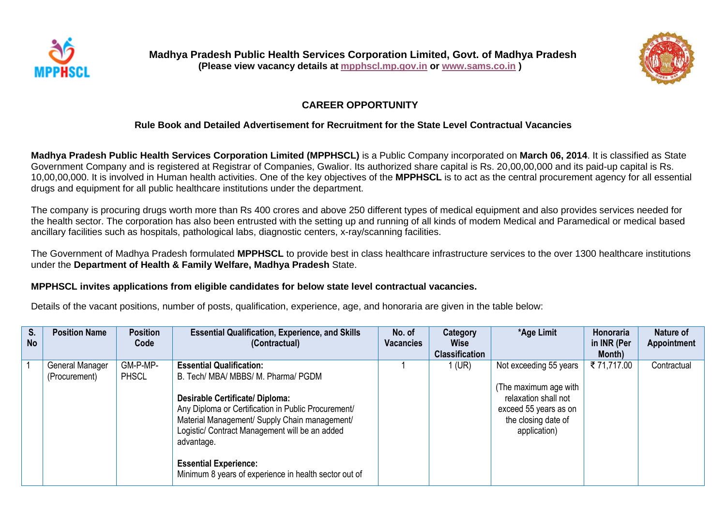



# **CAREER OPPORTUNITY**

# **Rule Book and Detailed Advertisement for Recruitment for the State Level Contractual Vacancies**

**Madhya Pradesh Public Health Services Corporation Limited (MPPHSCL)** is a Public Company incorporated on **March 06, 2014**. It is classified as State Government Company and is registered at Registrar of Companies, Gwalior. Its authorized share capital is Rs. 20,00,00,000 and its paid-up capital is Rs. 10,00,00,000. It is involved in Human health activities. One of the key objectives of the **MPPHSCL** is to act as the central procurement agency for all essential drugs and equipment for all public healthcare institutions under the department.

The company is procuring drugs worth more than Rs 400 crores and above 250 different types of medical equipment and also provides services needed for the health sector. The corporation has also been entrusted with the setting up and running of all kinds of modem Medical and Paramedical or medical based ancillary facilities such as hospitals, pathological labs, diagnostic centers, x-ray/scanning facilities.

The Government of Madhya Pradesh formulated **MPPHSCL** to provide best in class healthcare infrastructure services to the over 1300 healthcare institutions under the **Department of Health & Family Welfare, Madhya Pradesh** State.

### **MPPHSCL invites applications from eligible candidates for below state level contractual vacancies.**

Details of the vacant positions, number of posts, qualification, experience, age, and honoraria are given in the table below:

| S.<br><b>No</b> | <b>Position Name</b>             | <b>Position</b><br>Code  | <b>Essential Qualification, Experience, and Skills</b><br>(Contractual)                                                                                                                                                                                                                                                                                                           | No. of<br><b>Vacancies</b> | <b>Category</b><br>Wise<br><b>Classification</b> | *Age Limit                                                                                                                              | Honoraria<br>in INR (Per<br>Month) | Nature of<br><b>Appointment</b> |
|-----------------|----------------------------------|--------------------------|-----------------------------------------------------------------------------------------------------------------------------------------------------------------------------------------------------------------------------------------------------------------------------------------------------------------------------------------------------------------------------------|----------------------------|--------------------------------------------------|-----------------------------------------------------------------------------------------------------------------------------------------|------------------------------------|---------------------------------|
|                 | General Manager<br>(Procurement) | GM-P-MP-<br><b>PHSCL</b> | <b>Essential Qualification:</b><br>B. Tech/ MBA/ MBBS/ M. Pharma/ PGDM<br><b>Desirable Certificate/ Diploma:</b><br>Any Diploma or Certification in Public Procurement/<br>Material Management/ Supply Chain management/<br>Logistic/ Contract Management will be an added<br>advantage.<br><b>Essential Experience:</b><br>Minimum 8 years of experience in health sector out of |                            | $1$ (UR)                                         | Not exceeding 55 years<br>(The maximum age with<br>relaxation shall not<br>exceed 55 years as on<br>the closing date of<br>application) | ₹71,717.00                         | Contractual                     |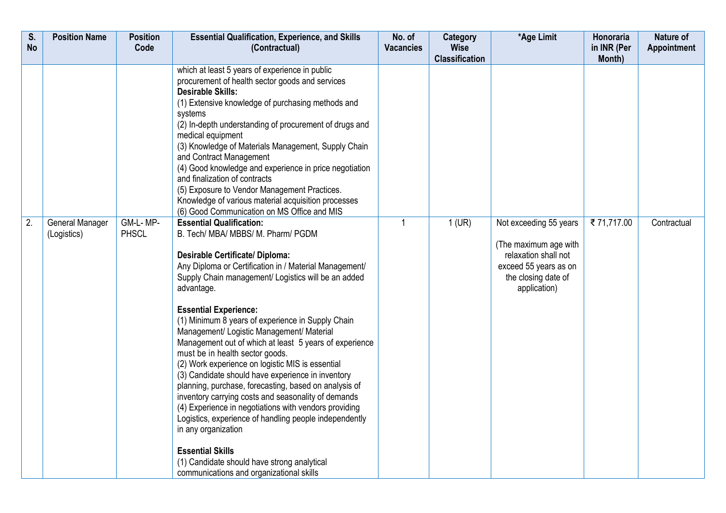|                                | Code                     |                                                                                                                                                                                                                                                                                                                                                                                                                                                                                                                                                                                                                                                                                                                                                                                                                                                                                                                            | <b>Vacancies</b>                                                                        | <b>Wise</b>           |                                                                                                                                         | in INR (Per | <b>Appointment</b> |
|--------------------------------|--------------------------|----------------------------------------------------------------------------------------------------------------------------------------------------------------------------------------------------------------------------------------------------------------------------------------------------------------------------------------------------------------------------------------------------------------------------------------------------------------------------------------------------------------------------------------------------------------------------------------------------------------------------------------------------------------------------------------------------------------------------------------------------------------------------------------------------------------------------------------------------------------------------------------------------------------------------|-----------------------------------------------------------------------------------------|-----------------------|-----------------------------------------------------------------------------------------------------------------------------------------|-------------|--------------------|
|                                |                          | (Contractual)                                                                                                                                                                                                                                                                                                                                                                                                                                                                                                                                                                                                                                                                                                                                                                                                                                                                                                              |                                                                                         | <b>Classification</b> |                                                                                                                                         | Month)      |                    |
|                                |                          | which at least 5 years of experience in public<br>procurement of health sector goods and services<br><b>Desirable Skills:</b><br>(1) Extensive knowledge of purchasing methods and<br>systems<br>(2) In-depth understanding of procurement of drugs and<br>medical equipment<br>(3) Knowledge of Materials Management, Supply Chain<br>and Contract Management<br>(4) Good knowledge and experience in price negotiation<br>and finalization of contracts<br>(5) Exposure to Vendor Management Practices.<br>Knowledge of various material acquisition processes                                                                                                                                                                                                                                                                                                                                                           |                                                                                         |                       |                                                                                                                                         |             |                    |
| General Manager<br>(Logistics) | GM-L-MP-<br><b>PHSCL</b> | <b>Essential Qualification:</b><br>B. Tech/ MBA/ MBBS/ M. Pharm/ PGDM<br><b>Desirable Certificate/ Diploma:</b><br>Any Diploma or Certification in / Material Management/<br>Supply Chain management/ Logistics will be an added<br>advantage.<br><b>Essential Experience:</b><br>(1) Minimum 8 years of experience in Supply Chain<br>Management/ Logistic Management/ Material<br>Management out of which at least 5 years of experience<br>must be in health sector goods.<br>(2) Work experience on logistic MIS is essential<br>(3) Candidate should have experience in inventory<br>planning, purchase, forecasting, based on analysis of<br>inventory carrying costs and seasonality of demands<br>(4) Experience in negotiations with vendors providing<br>Logistics, experience of handling people independently<br>in any organization<br><b>Essential Skills</b><br>(1) Candidate should have strong analytical | $\overline{1}$                                                                          | $1$ (UR)              | Not exceeding 55 years<br>(The maximum age with<br>relaxation shall not<br>exceed 55 years as on<br>the closing date of<br>application) | ₹71,717.00  | Contractual        |
|                                |                          |                                                                                                                                                                                                                                                                                                                                                                                                                                                                                                                                                                                                                                                                                                                                                                                                                                                                                                                            | (6) Good Communication on MS Office and MIS<br>communications and organizational skills |                       |                                                                                                                                         |             |                    |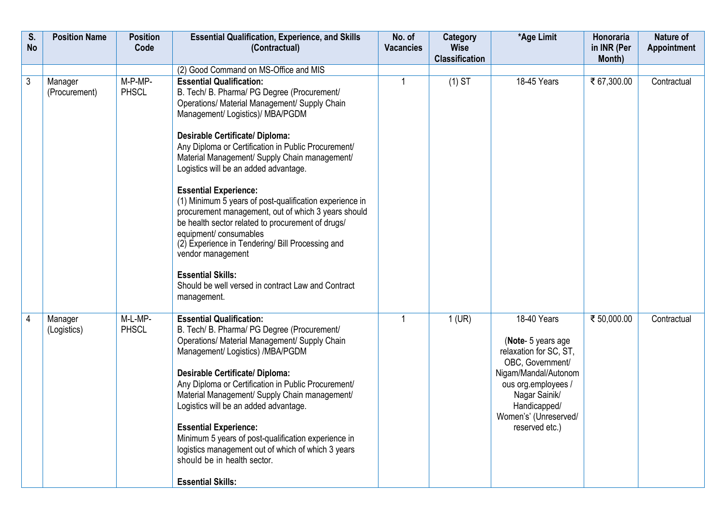| S.<br><b>No</b> | <b>Position Name</b>     | <b>Position</b><br>Code | <b>Essential Qualification, Experience, and Skills</b><br>(Contractual)                                                                                                                                                                                                                                                                                                                                                                                                                                                                                                                                                                                                                                                                                                   | No. of<br><b>Vacancies</b> | Category<br><b>Wise</b><br><b>Classification</b> | *Age Limit                                                                                                                                                                                                 | Honoraria<br>in INR (Per<br>Month) | Nature of<br>Appointment |
|-----------------|--------------------------|-------------------------|---------------------------------------------------------------------------------------------------------------------------------------------------------------------------------------------------------------------------------------------------------------------------------------------------------------------------------------------------------------------------------------------------------------------------------------------------------------------------------------------------------------------------------------------------------------------------------------------------------------------------------------------------------------------------------------------------------------------------------------------------------------------------|----------------------------|--------------------------------------------------|------------------------------------------------------------------------------------------------------------------------------------------------------------------------------------------------------------|------------------------------------|--------------------------|
|                 |                          |                         | (2) Good Command on MS-Office and MIS                                                                                                                                                                                                                                                                                                                                                                                                                                                                                                                                                                                                                                                                                                                                     |                            |                                                  |                                                                                                                                                                                                            |                                    |                          |
| 3               | Manager<br>(Procurement) | M-P-MP-<br><b>PHSCL</b> | <b>Essential Qualification:</b><br>B. Tech/ B. Pharma/ PG Degree (Procurement/<br>Operations/ Material Management/ Supply Chain<br>Management/ Logistics)/ MBA/PGDM<br><b>Desirable Certificate/ Diploma:</b><br>Any Diploma or Certification in Public Procurement/<br>Material Management/ Supply Chain management/<br>Logistics will be an added advantage.<br><b>Essential Experience:</b><br>(1) Minimum 5 years of post-qualification experience in<br>procurement management, out of which 3 years should<br>be health sector related to procurement of drugs/<br>equipment/ consumables<br>(2) Experience in Tendering/ Bill Processing and<br>vendor management<br><b>Essential Skills:</b><br>Should be well versed in contract Law and Contract<br>management. |                            | $(1)$ ST                                         | 18-45 Years                                                                                                                                                                                                | ₹ 67,300.00                        | Contractual              |
| 4               | Manager<br>(Logistics)   | M-L-MP-<br><b>PHSCL</b> | <b>Essential Qualification:</b><br>B. Tech/ B. Pharma/ PG Degree (Procurement/<br>Operations/ Material Management/ Supply Chain<br>Management/ Logistics) /MBA/PGDM<br><b>Desirable Certificate/ Diploma:</b><br>Any Diploma or Certification in Public Procurement/<br>Material Management/ Supply Chain management/<br>Logistics will be an added advantage.<br><b>Essential Experience:</b><br>Minimum 5 years of post-qualification experience in<br>logistics management out of which of which 3 years<br>should be in health sector.<br><b>Essential Skills:</b>                                                                                                                                                                                                    | $\overline{1}$             | $1$ (UR)                                         | 18-40 Years<br>(Note- 5 years age<br>relaxation for SC, ST,<br>OBC, Government/<br>Nigam/Mandal/Autonom<br>ous org.employees /<br>Nagar Sainik/<br>Handicapped/<br>Women's' (Unreserved/<br>reserved etc.) | ₹ 50,000.00                        | Contractual              |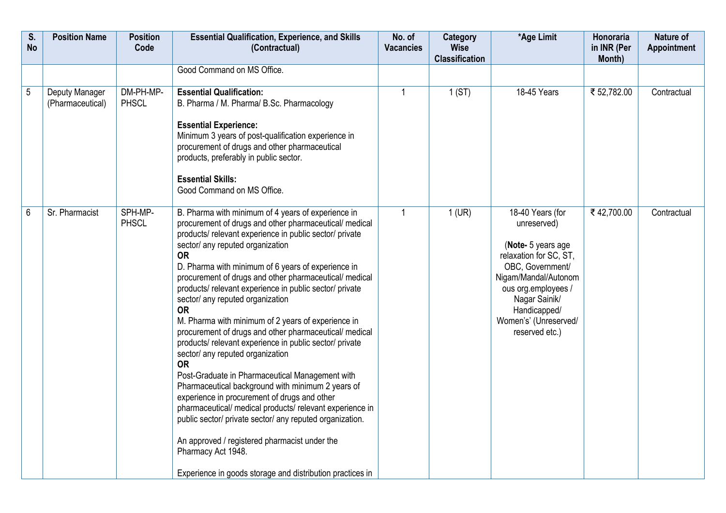| S.<br><b>No</b> | <b>Position Name</b>               | <b>Position</b><br>Code   | <b>Essential Qualification, Experience, and Skills</b><br>(Contractual)                                                                                                                                                                                                                                                                                                                                                                                                                                                                                                                                                                                                                                                                                                                                                                                                                                                                                                                                                                                                                        | No. of<br><b>Vacancies</b> | Category<br><b>Wise</b><br><b>Classification</b> | *Age Limit                                                                                                                                                                                                                     | Honoraria<br>in INR (Per<br>Month) | Nature of<br><b>Appointment</b> |
|-----------------|------------------------------------|---------------------------|------------------------------------------------------------------------------------------------------------------------------------------------------------------------------------------------------------------------------------------------------------------------------------------------------------------------------------------------------------------------------------------------------------------------------------------------------------------------------------------------------------------------------------------------------------------------------------------------------------------------------------------------------------------------------------------------------------------------------------------------------------------------------------------------------------------------------------------------------------------------------------------------------------------------------------------------------------------------------------------------------------------------------------------------------------------------------------------------|----------------------------|--------------------------------------------------|--------------------------------------------------------------------------------------------------------------------------------------------------------------------------------------------------------------------------------|------------------------------------|---------------------------------|
|                 |                                    |                           | Good Command on MS Office.                                                                                                                                                                                                                                                                                                                                                                                                                                                                                                                                                                                                                                                                                                                                                                                                                                                                                                                                                                                                                                                                     |                            |                                                  |                                                                                                                                                                                                                                |                                    |                                 |
| $\overline{5}$  | Deputy Manager<br>(Pharmaceutical) | DM-PH-MP-<br><b>PHSCL</b> | <b>Essential Qualification:</b><br>B. Pharma / M. Pharma/ B.Sc. Pharmacology<br><b>Essential Experience:</b><br>Minimum 3 years of post-qualification experience in<br>procurement of drugs and other pharmaceutical<br>products, preferably in public sector.<br><b>Essential Skills:</b><br>Good Command on MS Office.                                                                                                                                                                                                                                                                                                                                                                                                                                                                                                                                                                                                                                                                                                                                                                       | -1                         | 1(ST)                                            | <b>18-45 Years</b>                                                                                                                                                                                                             | ₹ 52,782.00                        | Contractual                     |
| $6\,$           | Sr. Pharmacist                     | SPH-MP-<br><b>PHSCL</b>   | B. Pharma with minimum of 4 years of experience in<br>procurement of drugs and other pharmaceutical/ medical<br>products/relevant experience in public sector/private<br>sector/ any reputed organization<br><b>OR</b><br>D. Pharma with minimum of 6 years of experience in<br>procurement of drugs and other pharmaceutical/ medical<br>products/relevant experience in public sector/private<br>sector/ any reputed organization<br><b>OR</b><br>M. Pharma with minimum of 2 years of experience in<br>procurement of drugs and other pharmaceutical/ medical<br>products/relevant experience in public sector/private<br>sector/ any reputed organization<br><b>OR</b><br>Post-Graduate in Pharmaceutical Management with<br>Pharmaceutical background with minimum 2 years of<br>experience in procurement of drugs and other<br>pharmaceutical/ medical products/ relevant experience in<br>public sector/ private sector/ any reputed organization.<br>An approved / registered pharmacist under the<br>Pharmacy Act 1948.<br>Experience in goods storage and distribution practices in | $\overline{1}$             | $1$ (UR)                                         | 18-40 Years (for<br>unreserved)<br>(Note- 5 years age<br>relaxation for SC, ST,<br>OBC, Government/<br>Nigam/Mandal/Autonom<br>ous org.employees /<br>Nagar Sainik/<br>Handicapped/<br>Women's' (Unreserved/<br>reserved etc.) | ₹42,700.00                         | Contractual                     |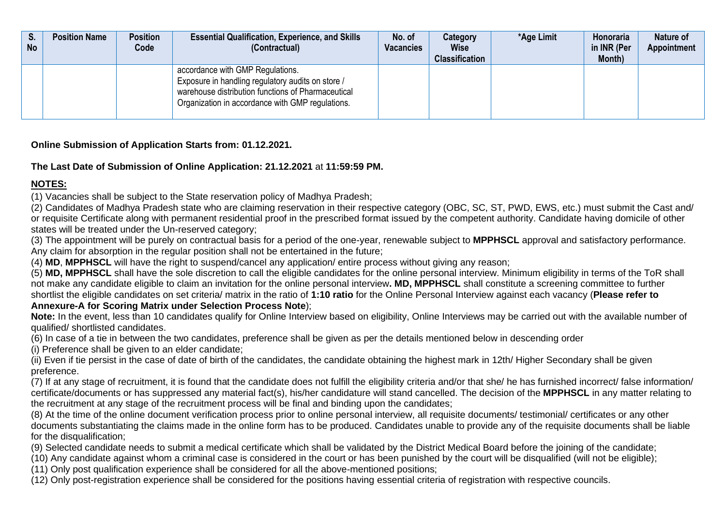| S.<br><b>No</b> | <b>Position Name</b> | <b>Position</b><br>Code | <b>Essential Qualification, Experience, and Skills</b><br>(Contractual)                                                                                                                         | No. of<br><b>Vacancies</b> | Category<br><b>Wise</b><br><b>Classification</b> | *Age Limit | Honoraria<br>in INR (Per<br>Month) | Nature of<br><b>Appointment</b> |
|-----------------|----------------------|-------------------------|-------------------------------------------------------------------------------------------------------------------------------------------------------------------------------------------------|----------------------------|--------------------------------------------------|------------|------------------------------------|---------------------------------|
|                 |                      |                         | accordance with GMP Regulations.<br>Exposure in handling regulatory audits on store /<br>warehouse distribution functions of Pharmaceutical<br>Organization in accordance with GMP regulations. |                            |                                                  |            |                                    |                                 |

**Online Submission of Application Starts from: 01.12.2021.**

# **The Last Date of Submission of Online Application: 21.12.2021** at **11:59:59 PM.**

# **NOTES:**

(1) Vacancies shall be subject to the State reservation policy of Madhya Pradesh;

(2) Candidates of Madhya Pradesh state who are claiming reservation in their respective category (OBC, SC, ST, PWD, EWS, etc.) must submit the Cast and/ or requisite Certificate along with permanent residential proof in the prescribed format issued by the competent authority. Candidate having domicile of other states will be treated under the Un-reserved category;

(3) The appointment will be purely on contractual basis for a period of the one-year, renewable subject to **MPPHSCL** approval and satisfactory performance. Any claim for absorption in the regular position shall not be entertained in the future;

(4) **MD**, **MPPHSCL** will have the right to suspend/cancel any application/ entire process without giving any reason;

(5) **MD, MPPHSCL** shall have the sole discretion to call the eligible candidates for the online personal interview. Minimum eligibility in terms of the ToR shall not make any candidate eligible to claim an invitation for the online personal interview**. MD, MPPHSCL** shall constitute a screening committee to further shortlist the eligible candidates on set criteria/ matrix in the ratio of **1:10 ratio** for the Online Personal Interview against each vacancy (**Please refer to Annexure-A for Scoring Matrix under Selection Process Note**);

Note: In the event, less than 10 candidates qualify for Online Interview based on eligibility, Online Interviews may be carried out with the available number of qualified/ shortlisted candidates.

(6) In case of a tie in between the two candidates, preference shall be given as per the details mentioned below in descending order

(i) Preference shall be given to an elder candidate;

(ii) Even if tie persist in the case of date of birth of the candidates, the candidate obtaining the highest mark in 12th/ Higher Secondary shall be given preference.

(7) If at any stage of recruitment, it is found that the candidate does not fulfill the eligibility criteria and/or that she/ he has furnished incorrect/ false information/ certificate/documents or has suppressed any material fact(s), his/her candidature will stand cancelled. The decision of the **MPPHSCL** in any matter relating to the recruitment at any stage of the recruitment process will be final and binding upon the candidates;

(8) At the time of the online document verification process prior to online personal interview, all requisite documents/ testimonial/ certificates or any other documents substantiating the claims made in the online form has to be produced. Candidates unable to provide any of the requisite documents shall be liable for the disqualification;

(9) Selected candidate needs to submit a medical certificate which shall be validated by the District Medical Board before the joining of the candidate;

(10) Any candidate against whom a criminal case is considered in the court or has been punished by the court will be disqualified (will not be eligible);

(11) Only post qualification experience shall be considered for all the above-mentioned positions;

(12) Only post-registration experience shall be considered for the positions having essential criteria of registration with respective councils.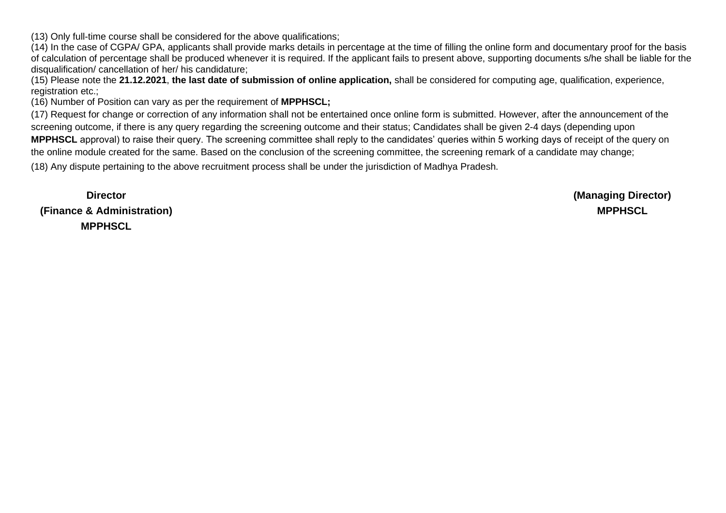(13) Only full-time course shall be considered for the above qualifications;

(14) In the case of CGPA/ GPA, applicants shall provide marks details in percentage at the time of filling the online form and documentary proof for the basis of calculation of percentage shall be produced whenever it is required. If the applicant fails to present above, supporting documents s/he shall be liable for the disqualification/ cancellation of her/ his candidature;

(15) Please note the **21.12.2021**, **the last date of submission of online application,** shall be considered for computing age, qualification, experience, registration etc.;

(16) Number of Position can vary as per the requirement of **MPPHSCL;**

(17) Request for change or correction of any information shall not be entertained once online form is submitted. However, after the announcement of the screening outcome, if there is any query regarding the screening outcome and their status; Candidates shall be given 2-4 days (depending upon **MPPHSCL** approval) to raise their query. The screening committee shall reply to the candidates' queries within 5 working days of receipt of the query on the online module created for the same. Based on the conclusion of the screening committee, the screening remark of a candidate may change;

(18) Any dispute pertaining to the above recruitment process shall be under the jurisdiction of Madhya Pradesh.

**Director (Finance & Administration) MPPHSCL**

**(Managing Director) MPPHSCL**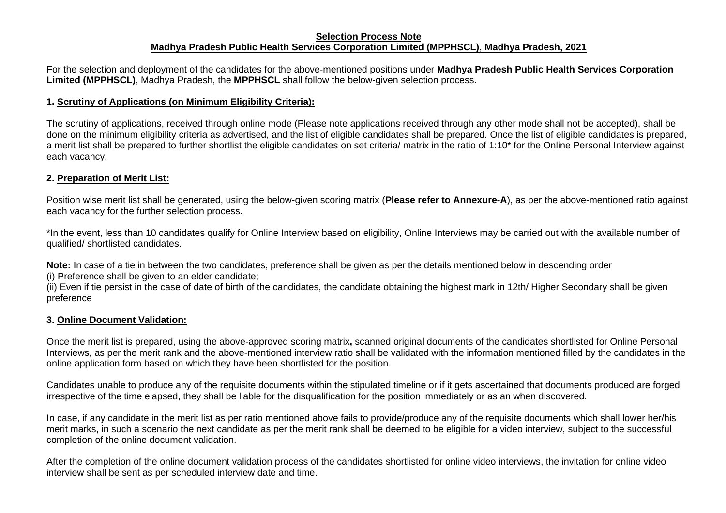#### **Selection Process Note Madhya Pradesh Public Health Services Corporation Limited (MPPHSCL)**, **Madhya Pradesh, 2021**

For the selection and deployment of the candidates for the above-mentioned positions under **Madhya Pradesh Public Health Services Corporation Limited (MPPHSCL)**, Madhya Pradesh, the **MPPHSCL** shall follow the below-given selection process.

#### **1. Scrutiny of Applications (on Minimum Eligibility Criteria):**

The scrutiny of applications, received through online mode (Please note applications received through any other mode shall not be accepted), shall be done on the minimum eligibility criteria as advertised, and the list of eligible candidates shall be prepared. Once the list of eligible candidates is prepared, a merit list shall be prepared to further shortlist the eligible candidates on set criteria/ matrix in the ratio of 1:10\* for the Online Personal Interview against each vacancy.

### **2. Preparation of Merit List:**

Position wise merit list shall be generated, using the below-given scoring matrix (**Please refer to Annexure-A**), as per the above-mentioned ratio against each vacancy for the further selection process.

\*In the event, less than 10 candidates qualify for Online Interview based on eligibility, Online Interviews may be carried out with the available number of qualified/ shortlisted candidates.

**Note:** In case of a tie in between the two candidates, preference shall be given as per the details mentioned below in descending order

(i) Preference shall be given to an elder candidate;

(ii) Even if tie persist in the case of date of birth of the candidates, the candidate obtaining the highest mark in 12th/ Higher Secondary shall be given preference

#### **3. Online Document Validation:**

Once the merit list is prepared, using the above-approved scoring matrix**,** scanned original documents of the candidates shortlisted for Online Personal Interviews, as per the merit rank and the above-mentioned interview ratio shall be validated with the information mentioned filled by the candidates in the online application form based on which they have been shortlisted for the position.

Candidates unable to produce any of the requisite documents within the stipulated timeline or if it gets ascertained that documents produced are forged irrespective of the time elapsed, they shall be liable for the disqualification for the position immediately or as an when discovered.

In case, if any candidate in the merit list as per ratio mentioned above fails to provide/produce any of the requisite documents which shall lower her/his merit marks, in such a scenario the next candidate as per the merit rank shall be deemed to be eligible for a video interview, subject to the successful completion of the online document validation.

After the completion of the online document validation process of the candidates shortlisted for online video interviews, the invitation for online video interview shall be sent as per scheduled interview date and time.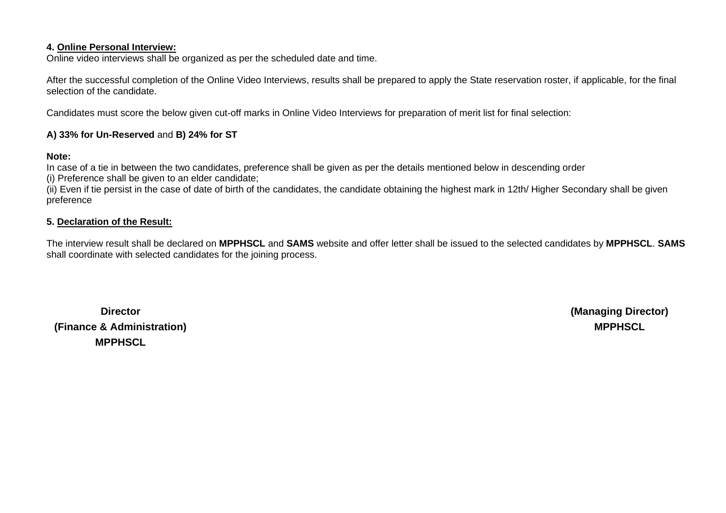#### **4. Online Personal Interview:**

Online video interviews shall be organized as per the scheduled date and time.

After the successful completion of the Online Video Interviews, results shall be prepared to apply the State reservation roster, if applicable, for the final selection of the candidate.

Candidates must score the below given cut-off marks in Online Video Interviews for preparation of merit list for final selection:

#### **A) 33% for Un-Reserved** and **B) 24% for ST**

#### **Note:**

In case of a tie in between the two candidates, preference shall be given as per the details mentioned below in descending order

(i) Preference shall be given to an elder candidate;

(ii) Even if tie persist in the case of date of birth of the candidates, the candidate obtaining the highest mark in 12th/ Higher Secondary shall be given preference

#### **5. Declaration of the Result:**

The interview result shall be declared on **MPPHSCL** and **SAMS** website and offer letter shall be issued to the selected candidates by **MPPHSCL**. **SAMS** shall coordinate with selected candidates for the joining process.

**Director (Finance & Administration) MPPHSCL**

**(Managing Director) MPPHSCL**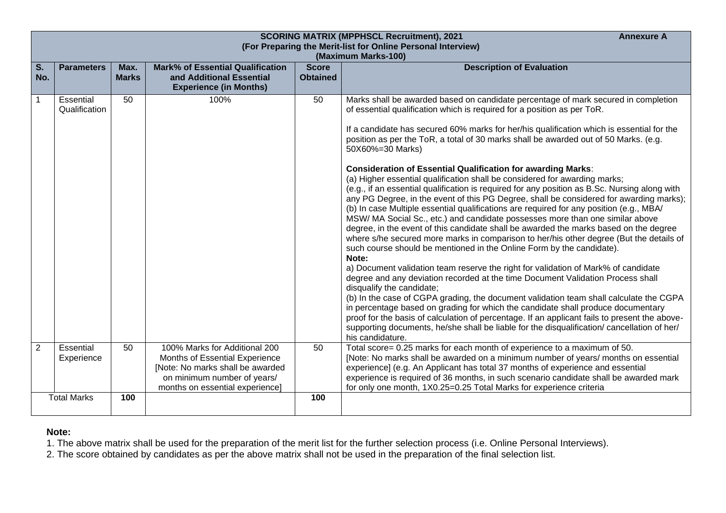|                                  |                            |                      |                                                                                                                                                                       |                                 | <b>SCORING MATRIX (MPPHSCL Recruitment), 2021</b><br><b>Annexure A</b><br>(For Preparing the Merit-list for Online Personal Interview)                                                                                                                                                                                                                                                                                                                                                                                                                                                                                                                                                                                                                                                                                                                                                                                                                                                                                                                                                                                                                                                                                                                                                                                                                                                                                                                                                                                                                                                                                                                                                                                                                                           |
|----------------------------------|----------------------------|----------------------|-----------------------------------------------------------------------------------------------------------------------------------------------------------------------|---------------------------------|----------------------------------------------------------------------------------------------------------------------------------------------------------------------------------------------------------------------------------------------------------------------------------------------------------------------------------------------------------------------------------------------------------------------------------------------------------------------------------------------------------------------------------------------------------------------------------------------------------------------------------------------------------------------------------------------------------------------------------------------------------------------------------------------------------------------------------------------------------------------------------------------------------------------------------------------------------------------------------------------------------------------------------------------------------------------------------------------------------------------------------------------------------------------------------------------------------------------------------------------------------------------------------------------------------------------------------------------------------------------------------------------------------------------------------------------------------------------------------------------------------------------------------------------------------------------------------------------------------------------------------------------------------------------------------------------------------------------------------------------------------------------------------|
| $\overline{\mathsf{s}}$ .<br>No. | <b>Parameters</b>          | Max.<br><b>Marks</b> | <b>Mark% of Essential Qualification</b><br>and Additional Essential<br><b>Experience (in Months)</b>                                                                  | <b>Score</b><br><b>Obtained</b> | (Maximum Marks-100)<br><b>Description of Evaluation</b>                                                                                                                                                                                                                                                                                                                                                                                                                                                                                                                                                                                                                                                                                                                                                                                                                                                                                                                                                                                                                                                                                                                                                                                                                                                                                                                                                                                                                                                                                                                                                                                                                                                                                                                          |
|                                  | Essential<br>Qualification | 50                   | 100%                                                                                                                                                                  | 50                              | Marks shall be awarded based on candidate percentage of mark secured in completion<br>of essential qualification which is required for a position as per ToR.<br>If a candidate has secured 60% marks for her/his qualification which is essential for the<br>position as per the ToR, a total of 30 marks shall be awarded out of 50 Marks. (e.g.<br>50X60%=30 Marks)<br><b>Consideration of Essential Qualification for awarding Marks:</b><br>(a) Higher essential qualification shall be considered for awarding marks;<br>(e.g., if an essential qualification is required for any position as B.Sc. Nursing along with<br>any PG Degree, in the event of this PG Degree, shall be considered for awarding marks);<br>(b) In case Multiple essential qualifications are required for any position (e.g., MBA/<br>MSW/MA Social Sc., etc.) and candidate possesses more than one similar above<br>degree, in the event of this candidate shall be awarded the marks based on the degree<br>where s/he secured more marks in comparison to her/his other degree (But the details of<br>such course should be mentioned in the Online Form by the candidate).<br>Note:<br>a) Document validation team reserve the right for validation of Mark% of candidate<br>degree and any deviation recorded at the time Document Validation Process shall<br>disqualify the candidate;<br>(b) In the case of CGPA grading, the document validation team shall calculate the CGPA<br>in percentage based on grading for which the candidate shall produce documentary<br>proof for the basis of calculation of percentage. If an applicant fails to present the above-<br>supporting documents, he/she shall be liable for the disqualification/ cancellation of her/<br>his candidature. |
| $\overline{2}$                   | Essential<br>Experience    | 50                   | 100% Marks for Additional 200<br>Months of Essential Experience<br>[Note: No marks shall be awarded<br>on minimum number of years/<br>months on essential experience] | 50                              | Total score= 0.25 marks for each month of experience to a maximum of 50.<br>[Note: No marks shall be awarded on a minimum number of years/ months on essential<br>experience] (e.g. An Applicant has total 37 months of experience and essential<br>experience is required of 36 months, in such scenario candidate shall be awarded mark<br>for only one month, 1X0.25=0.25 Total Marks for experience criteria                                                                                                                                                                                                                                                                                                                                                                                                                                                                                                                                                                                                                                                                                                                                                                                                                                                                                                                                                                                                                                                                                                                                                                                                                                                                                                                                                                 |
|                                  | <b>Total Marks</b>         | 100                  |                                                                                                                                                                       | 100                             |                                                                                                                                                                                                                                                                                                                                                                                                                                                                                                                                                                                                                                                                                                                                                                                                                                                                                                                                                                                                                                                                                                                                                                                                                                                                                                                                                                                                                                                                                                                                                                                                                                                                                                                                                                                  |

### **Note:**

1. The above matrix shall be used for the preparation of the merit list for the further selection process (i.e. Online Personal Interviews).

2. The score obtained by candidates as per the above matrix shall not be used in the preparation of the final selection list.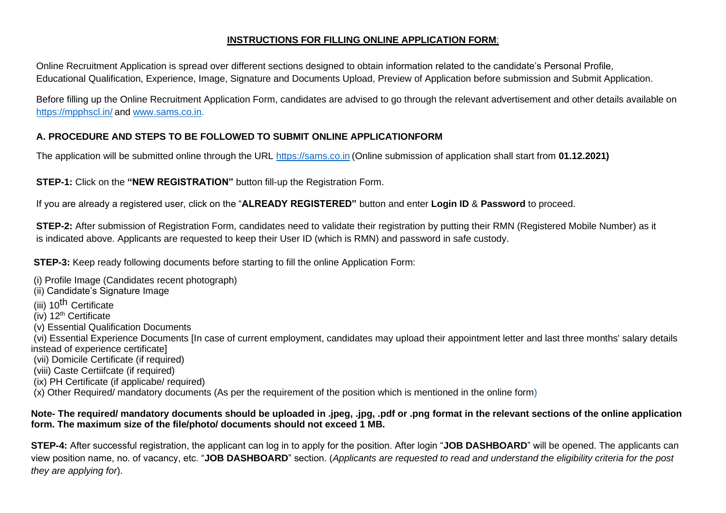## **INSTRUCTIONS FOR FILLING ONLINE APPLICATION FORM**:

Online Recruitment Application is spread over different sections designed to obtain information related to the candidate's Personal Profile, Educational Qualification, Experience, Image, Signature and Documents Upload, Preview of Application before submission and Submit Application.

Before filling up the Online Recruitment Application Form, candidates are advised to go through the relevant advertisement and other details available on [https://mpphscl.in/](http://www.nhmmp.gov.in/) and [www.sams.co.in.](http://www.sams.co.in/)

# **A. PROCEDURE AND STEPS TO BE FOLLOWED TO SUBMIT ONLINE APPLICATIONFORM**

The application will be submitted online through the URL [https://sams.co.in](https://sams.co.in/) (Online submission of application shall start from **01.12.2021)**

**STEP-1:** Click on the **"NEW REGISTRATION"** button fill-up the Registration Form.

If you are already a registered user, click on the "**ALREADY REGISTERED"** button and enter **Login ID** & **Password** to proceed.

**STEP-2:** After submission of Registration Form, candidates need to validate their registration by putting their RMN (Registered Mobile Number) as it is indicated above. Applicants are requested to keep their User ID (which is RMN) and password in safe custody.

**STEP-3:** Keep ready following documents before starting to fill the online Application Form:

- (i) Profile Image (Candidates recent photograph)
- (ii) Candidate's Signature Image
- (iii) 10<sup>th</sup> Certificate
- $(iv)$  12<sup>th</sup> Certificate
- (v) Essential Qualification Documents
- (vi) Essential Experience Documents [In case of current employment, candidates may upload their appointment letter and last three months' salary details instead of experience certificate]
- (vii) Domicile Certificate (if required)
- (viii) Caste Certiifcate (if required)
- (ix) PH Certificate (if applicabe/ required)
- (x) Other Required/ mandatory documents (As per the requirement of the position which is mentioned in the online form)

### **Note- The required/ mandatory documents should be uploaded in .jpeg, .jpg, .pdf or .png format in the relevant sections of the online application form. The maximum size of the file/photo/ documents should not exceed 1 MB.**

**STEP-4:** After successful registration, the applicant can log in to apply for the position. After login "**JOB DASHBOARD**" will be opened. The applicants can view position name, no. of vacancy, etc. "**JOB DASHBOARD**" section. (*Applicants are requested to read and understand the eligibility criteria for the post they are applying for*).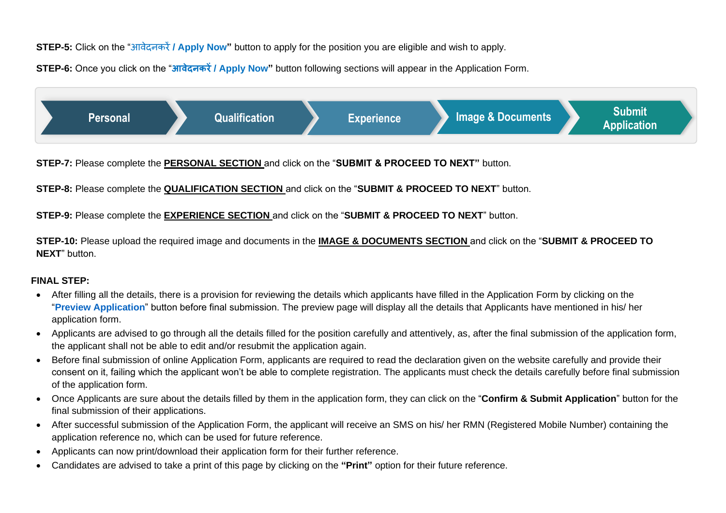**STEP-5:** Click on the "आवेदनकरें**/ Apply Now"** button to apply for the position you are eligible and wish to apply.

**STEP-6:** Once you click on the "**आवेदनकरें/ Apply Now"** button following sections will appear in the Application Form.



**STEP-7:** Please complete the **PERSONAL SECTION** and click on the "**SUBMIT & PROCEED TO NEXT"** button.

**STEP-8:** Please complete the **QUALIFICATION SECTION** and click on the "**SUBMIT & PROCEED TO NEXT**" button.

**STEP-9:** Please complete the **EXPERIENCE SECTION** and click on the "**SUBMIT & PROCEED TO NEXT**" button.

**STEP-10:** Please upload the required image and documents in the **IMAGE & DOCUMENTS SECTION** and click on the "**SUBMIT & PROCEED TO NEXT**" button.

## **FINAL STEP:**

- After filling all the details, there is a provision for reviewing the details which applicants have filled in the Application Form by clicking on the "**Preview Application**" button before final submission. The preview page will display all the details that Applicants have mentioned in his/ her application form.
- Applicants are advised to go through all the details filled for the position carefully and attentively, as, after the final submission of the application form, the applicant shall not be able to edit and/or resubmit the application again.
- Before final submission of online Application Form, applicants are required to read the declaration given on the website carefully and provide their consent on it, failing which the applicant won't be able to complete registration. The applicants must check the details carefully before final submission of the application form.
- Once Applicants are sure about the details filled by them in the application form, they can click on the "**Confirm & Submit Application**" button for the final submission of their applications.
- After successful submission of the Application Form, the applicant will receive an SMS on his/ her RMN (Registered Mobile Number) containing the application reference no, which can be used for future reference.
- Applicants can now print/download their application form for their further reference.
- Candidates are advised to take a print of this page by clicking on the **"Print"** option for their future reference.